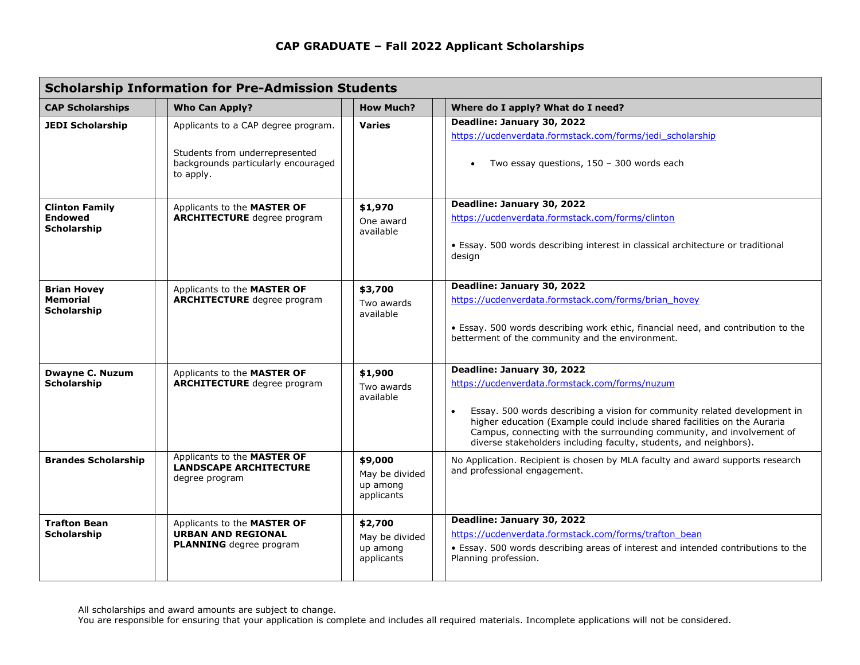## **CAP GRADUATE – Fall 2022 Applicant Scholarships**

| <b>Scholarship Information for Pre-Admission Students</b>   |                                                                                                                           |                                                     |                                                                                                                                                                                                                                                                                                                                                                                                  |  |
|-------------------------------------------------------------|---------------------------------------------------------------------------------------------------------------------------|-----------------------------------------------------|--------------------------------------------------------------------------------------------------------------------------------------------------------------------------------------------------------------------------------------------------------------------------------------------------------------------------------------------------------------------------------------------------|--|
| <b>CAP Scholarships</b>                                     | <b>Who Can Apply?</b>                                                                                                     | <b>How Much?</b>                                    | Where do I apply? What do I need?                                                                                                                                                                                                                                                                                                                                                                |  |
| <b>JEDI Scholarship</b>                                     | Applicants to a CAP degree program.<br>Students from underrepresented<br>backgrounds particularly encouraged<br>to apply. | Varies                                              | Deadline: January 30, 2022<br>https://ucdenverdata.formstack.com/forms/jedi scholarship<br>Two essay questions, 150 - 300 words each<br>$\bullet$                                                                                                                                                                                                                                                |  |
| <b>Clinton Family</b><br><b>Endowed</b><br>Scholarship      | Applicants to the MASTER OF<br><b>ARCHITECTURE</b> degree program                                                         | \$1,970<br>One award<br>available                   | Deadline: January 30, 2022<br>https://ucdenverdata.formstack.com/forms/clinton<br>• Essay. 500 words describing interest in classical architecture or traditional<br>design                                                                                                                                                                                                                      |  |
| <b>Brian Hovey</b><br><b>Memorial</b><br><b>Scholarship</b> | Applicants to the MASTER OF<br><b>ARCHITECTURE</b> degree program                                                         | \$3,700<br>Two awards<br>available                  | Deadline: January 30, 2022<br>https://ucdenverdata.formstack.com/forms/brian_hovey<br>• Essay. 500 words describing work ethic, financial need, and contribution to the<br>betterment of the community and the environment.                                                                                                                                                                      |  |
| <b>Dwayne C. Nuzum</b><br>Scholarship                       | Applicants to the MASTER OF<br><b>ARCHITECTURE</b> degree program                                                         | \$1,900<br>Two awards<br>available                  | Deadline: January 30, 2022<br>https://ucdenverdata.formstack.com/forms/nuzum<br>Essay. 500 words describing a vision for community related development in<br>$\bullet$<br>higher education (Example could include shared facilities on the Auraria<br>Campus, connecting with the surrounding community, and involvement of<br>diverse stakeholders including faculty, students, and neighbors). |  |
| <b>Brandes Scholarship</b>                                  | Applicants to the MASTER OF<br><b>LANDSCAPE ARCHITECTURE</b><br>degree program                                            | \$9,000<br>May be divided<br>up among<br>applicants | No Application. Recipient is chosen by MLA faculty and award supports research<br>and professional engagement.                                                                                                                                                                                                                                                                                   |  |
| <b>Trafton Bean</b><br>Scholarship                          | Applicants to the MASTER OF<br><b>URBAN AND REGIONAL</b><br><b>PLANNING</b> degree program                                | \$2,700<br>May be divided<br>up among<br>applicants | Deadline: January 30, 2022<br>https://ucdenverdata.formstack.com/forms/trafton_bean<br>• Essay. 500 words describing areas of interest and intended contributions to the<br>Planning profession.                                                                                                                                                                                                 |  |

All scholarships and award amounts are subject to change.

You are responsible for ensuring that your application is complete and includes all required materials. Incomplete applications will not be considered.